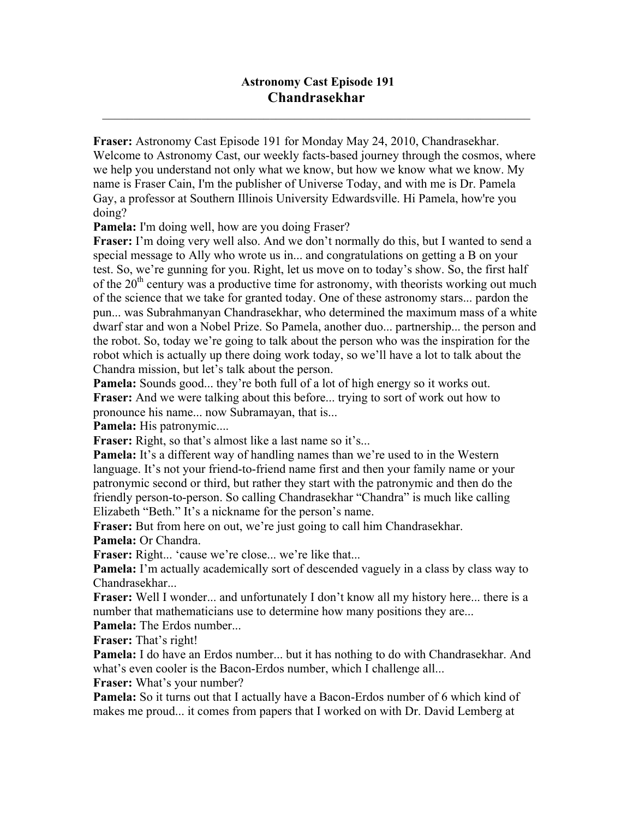## **Astronomy Cast Episode 191 Chandrasekhar**

 $\mathcal{L}_\mathcal{L} = \mathcal{L}_\mathcal{L} = \mathcal{L}_\mathcal{L} = \mathcal{L}_\mathcal{L} = \mathcal{L}_\mathcal{L} = \mathcal{L}_\mathcal{L} = \mathcal{L}_\mathcal{L} = \mathcal{L}_\mathcal{L} = \mathcal{L}_\mathcal{L} = \mathcal{L}_\mathcal{L} = \mathcal{L}_\mathcal{L} = \mathcal{L}_\mathcal{L} = \mathcal{L}_\mathcal{L} = \mathcal{L}_\mathcal{L} = \mathcal{L}_\mathcal{L} = \mathcal{L}_\mathcal{L} = \mathcal{L}_\mathcal{L}$ 

**Fraser:** Astronomy Cast Episode 191 for Monday May 24, 2010, Chandrasekhar. Welcome to Astronomy Cast, our weekly facts-based journey through the cosmos, where we help you understand not only what we know, but how we know what we know. My name is Fraser Cain, I'm the publisher of Universe Today, and with me is Dr. Pamela Gay, a professor at Southern Illinois University Edwardsville. Hi Pamela, how're you doing?

**Pamela:** I'm doing well, how are you doing Fraser?

**Fraser:** I'm doing very well also. And we don't normally do this, but I wanted to send a special message to Ally who wrote us in... and congratulations on getting a B on your test. So, we're gunning for you. Right, let us move on to today's show. So, the first half of the  $20<sup>th</sup>$  century was a productive time for astronomy, with theorists working out much of the science that we take for granted today. One of these astronomy stars... pardon the pun... was Subrahmanyan Chandrasekhar, who determined the maximum mass of a white dwarf star and won a Nobel Prize. So Pamela, another duo... partnership... the person and the robot. So, today we're going to talk about the person who was the inspiration for the robot which is actually up there doing work today, so we'll have a lot to talk about the Chandra mission, but let's talk about the person.

**Pamela:** Sounds good... they're both full of a lot of high energy so it works out. **Fraser:** And we were talking about this before... trying to sort of work out how to pronounce his name... now Subramayan, that is...

**Pamela:** His patronymic....

**Fraser:** Right, so that's almost like a last name so it's...

**Pamela:** It's a different way of handling names than we're used to in the Western language. It's not your friend-to-friend name first and then your family name or your patronymic second or third, but rather they start with the patronymic and then do the friendly person-to-person. So calling Chandrasekhar "Chandra" is much like calling Elizabeth "Beth." It's a nickname for the person's name.

**Fraser:** But from here on out, we're just going to call him Chandrasekhar.

**Pamela:** Or Chandra.

**Fraser:** Right... 'cause we're close... we're like that...

**Pamela:** I'm actually academically sort of descended vaguely in a class by class way to Chandrasekhar...

**Fraser:** Well I wonder... and unfortunately I don't know all my history here... there is a number that mathematicians use to determine how many positions they are...

**Pamela:** The Erdos number...

**Fraser:** That's right!

**Pamela:** I do have an Erdos number... but it has nothing to do with Chandrasekhar. And what's even cooler is the Bacon-Erdos number, which I challenge all...

**Fraser:** What's your number?

**Pamela:** So it turns out that I actually have a Bacon-Erdos number of 6 which kind of makes me proud... it comes from papers that I worked on with Dr. David Lemberg at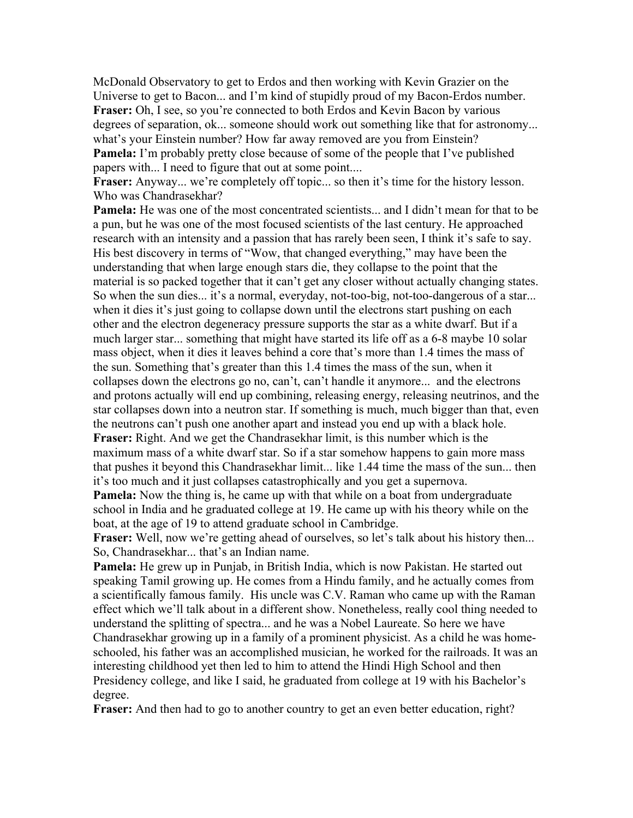McDonald Observatory to get to Erdos and then working with Kevin Grazier on the Universe to get to Bacon... and I'm kind of stupidly proud of my Bacon-Erdos number. **Fraser:** Oh, I see, so you're connected to both Erdos and Kevin Bacon by various degrees of separation, ok... someone should work out something like that for astronomy... what's your Einstein number? How far away removed are you from Einstein? **Pamela:** I'm probably pretty close because of some of the people that I've published papers with... I need to figure that out at some point....

Fraser: Anyway... we're completely off topic... so then it's time for the history lesson. Who was Chandrasekhar?

**Pamela:** He was one of the most concentrated scientists... and I didn't mean for that to be a pun, but he was one of the most focused scientists of the last century. He approached research with an intensity and a passion that has rarely been seen, I think it's safe to say. His best discovery in terms of "Wow, that changed everything," may have been the understanding that when large enough stars die, they collapse to the point that the material is so packed together that it can't get any closer without actually changing states. So when the sun dies... it's a normal, everyday, not-too-big, not-too-dangerous of a star... when it dies it's just going to collapse down until the electrons start pushing on each other and the electron degeneracy pressure supports the star as a white dwarf. But if a much larger star... something that might have started its life off as a 6-8 maybe 10 solar mass object, when it dies it leaves behind a core that's more than 1.4 times the mass of the sun. Something that's greater than this 1.4 times the mass of the sun, when it collapses down the electrons go no, can't, can't handle it anymore... and the electrons and protons actually will end up combining, releasing energy, releasing neutrinos, and the star collapses down into a neutron star. If something is much, much bigger than that, even the neutrons can't push one another apart and instead you end up with a black hole. **Fraser:** Right. And we get the Chandrasekhar limit, is this number which is the maximum mass of a white dwarf star. So if a star somehow happens to gain more mass that pushes it beyond this Chandrasekhar limit... like 1.44 time the mass of the sun... then it's too much and it just collapses catastrophically and you get a supernova.

**Pamela:** Now the thing is, he came up with that while on a boat from undergraduate school in India and he graduated college at 19. He came up with his theory while on the boat, at the age of 19 to attend graduate school in Cambridge.

**Fraser:** Well, now we're getting ahead of ourselves, so let's talk about his history then... So, Chandrasekhar... that's an Indian name.

**Pamela:** He grew up in Punjab, in British India, which is now Pakistan. He started out speaking Tamil growing up. He comes from a Hindu family, and he actually comes from a scientifically famous family. His uncle was C.V. Raman who came up with the Raman effect which we'll talk about in a different show. Nonetheless, really cool thing needed to understand the splitting of spectra... and he was a Nobel Laureate. So here we have Chandrasekhar growing up in a family of a prominent physicist. As a child he was homeschooled, his father was an accomplished musician, he worked for the railroads. It was an interesting childhood yet then led to him to attend the Hindi High School and then Presidency college, and like I said, he graduated from college at 19 with his Bachelor's degree.

**Fraser:** And then had to go to another country to get an even better education, right?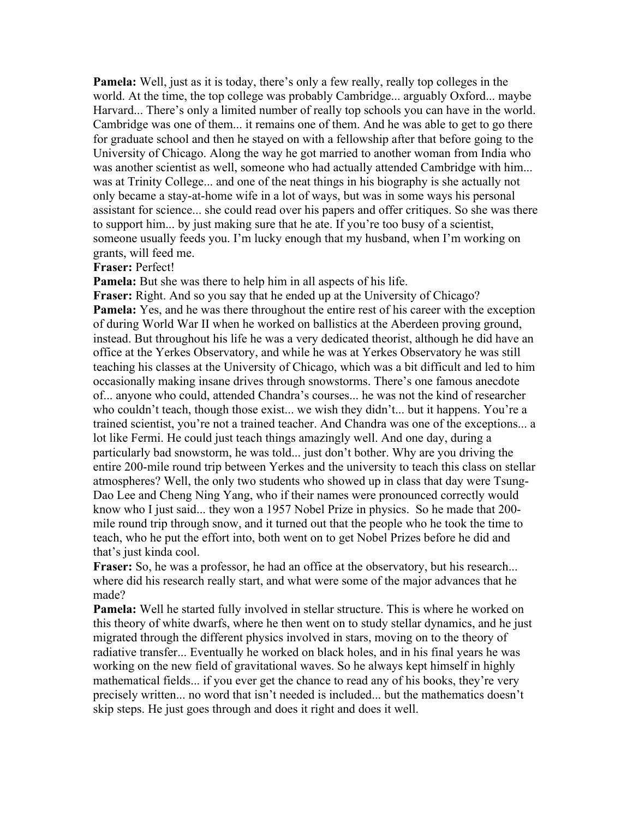**Pamela:** Well, just as it is today, there's only a few really, really top colleges in the world. At the time, the top college was probably Cambridge... arguably Oxford... maybe Harvard... There's only a limited number of really top schools you can have in the world. Cambridge was one of them... it remains one of them. And he was able to get to go there for graduate school and then he stayed on with a fellowship after that before going to the University of Chicago. Along the way he got married to another woman from India who was another scientist as well, someone who had actually attended Cambridge with him... was at Trinity College... and one of the neat things in his biography is she actually not only became a stay-at-home wife in a lot of ways, but was in some ways his personal assistant for science... she could read over his papers and offer critiques. So she was there to support him... by just making sure that he ate. If you're too busy of a scientist, someone usually feeds you. I'm lucky enough that my husband, when I'm working on grants, will feed me.

## **Fraser:** Perfect!

**Pamela:** But she was there to help him in all aspects of his life.

**Fraser:** Right. And so you say that he ended up at the University of Chicago? **Pamela:** Yes, and he was there throughout the entire rest of his career with the exception of during World War II when he worked on ballistics at the Aberdeen proving ground, instead. But throughout his life he was a very dedicated theorist, although he did have an office at the Yerkes Observatory, and while he was at Yerkes Observatory he was still teaching his classes at the University of Chicago, which was a bit difficult and led to him occasionally making insane drives through snowstorms. There's one famous anecdote of... anyone who could, attended Chandra's courses... he was not the kind of researcher who couldn't teach, though those exist... we wish they didn't... but it happens. You're a trained scientist, you're not a trained teacher. And Chandra was one of the exceptions... a lot like Fermi. He could just teach things amazingly well. And one day, during a particularly bad snowstorm, he was told... just don't bother. Why are you driving the entire 200-mile round trip between Yerkes and the university to teach this class on stellar atmospheres? Well, the only two students who showed up in class that day were Tsung-Dao Lee and Cheng Ning Yang, who if their names were pronounced correctly would know who I just said... they won a 1957 Nobel Prize in physics. So he made that 200 mile round trip through snow, and it turned out that the people who he took the time to teach, who he put the effort into, both went on to get Nobel Prizes before he did and that's just kinda cool.

**Fraser:** So, he was a professor, he had an office at the observatory, but his research... where did his research really start, and what were some of the major advances that he made?

**Pamela:** Well he started fully involved in stellar structure. This is where he worked on this theory of white dwarfs, where he then went on to study stellar dynamics, and he just migrated through the different physics involved in stars, moving on to the theory of radiative transfer... Eventually he worked on black holes, and in his final years he was working on the new field of gravitational waves. So he always kept himself in highly mathematical fields... if you ever get the chance to read any of his books, they're very precisely written... no word that isn't needed is included... but the mathematics doesn't skip steps. He just goes through and does it right and does it well.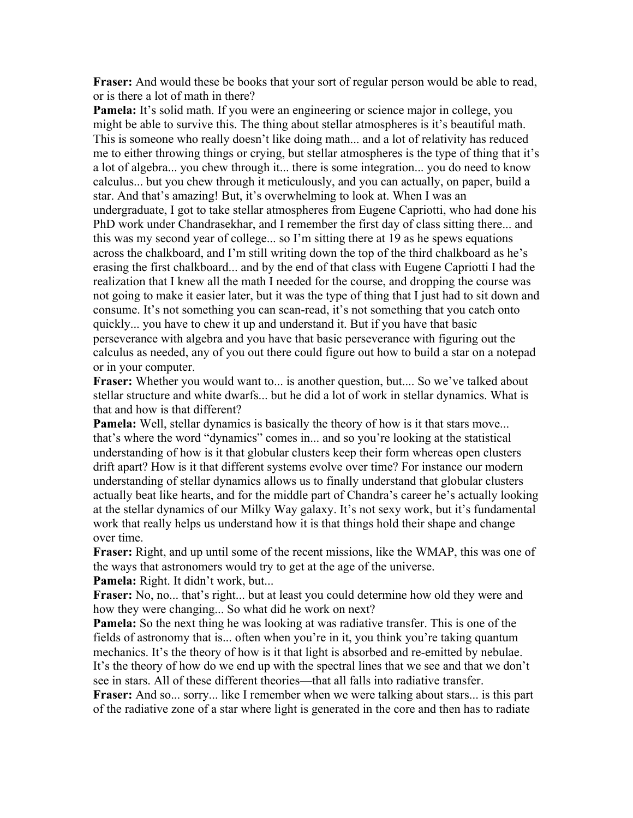**Fraser:** And would these be books that your sort of regular person would be able to read, or is there a lot of math in there?

**Pamela:** It's solid math. If you were an engineering or science major in college, you might be able to survive this. The thing about stellar atmospheres is it's beautiful math. This is someone who really doesn't like doing math... and a lot of relativity has reduced me to either throwing things or crying, but stellar atmospheres is the type of thing that it's a lot of algebra... you chew through it... there is some integration... you do need to know calculus... but you chew through it meticulously, and you can actually, on paper, build a star. And that's amazing! But, it's overwhelming to look at. When I was an undergraduate, I got to take stellar atmospheres from Eugene Capriotti, who had done his PhD work under Chandrasekhar, and I remember the first day of class sitting there... and this was my second year of college... so I'm sitting there at 19 as he spews equations across the chalkboard, and I'm still writing down the top of the third chalkboard as he's erasing the first chalkboard... and by the end of that class with Eugene Capriotti I had the realization that I knew all the math I needed for the course, and dropping the course was not going to make it easier later, but it was the type of thing that I just had to sit down and consume. It's not something you can scan-read, it's not something that you catch onto quickly... you have to chew it up and understand it. But if you have that basic perseverance with algebra and you have that basic perseverance with figuring out the calculus as needed, any of you out there could figure out how to build a star on a notepad or in your computer.

**Fraser:** Whether you would want to... is another question, but.... So we've talked about stellar structure and white dwarfs... but he did a lot of work in stellar dynamics. What is that and how is that different?

**Pamela:** Well, stellar dynamics is basically the theory of how is it that stars move... that's where the word "dynamics" comes in... and so you're looking at the statistical understanding of how is it that globular clusters keep their form whereas open clusters drift apart? How is it that different systems evolve over time? For instance our modern understanding of stellar dynamics allows us to finally understand that globular clusters actually beat like hearts, and for the middle part of Chandra's career he's actually looking at the stellar dynamics of our Milky Way galaxy. It's not sexy work, but it's fundamental work that really helps us understand how it is that things hold their shape and change over time.

**Fraser:** Right, and up until some of the recent missions, like the WMAP, this was one of the ways that astronomers would try to get at the age of the universe.

**Pamela:** Right. It didn't work, but...

**Fraser:** No, no... that's right... but at least you could determine how old they were and how they were changing... So what did he work on next?

**Pamela:** So the next thing he was looking at was radiative transfer. This is one of the fields of astronomy that is... often when you're in it, you think you're taking quantum mechanics. It's the theory of how is it that light is absorbed and re-emitted by nebulae. It's the theory of how do we end up with the spectral lines that we see and that we don't see in stars. All of these different theories—that all falls into radiative transfer.

**Fraser:** And so... sorry... like I remember when we were talking about stars... is this part of the radiative zone of a star where light is generated in the core and then has to radiate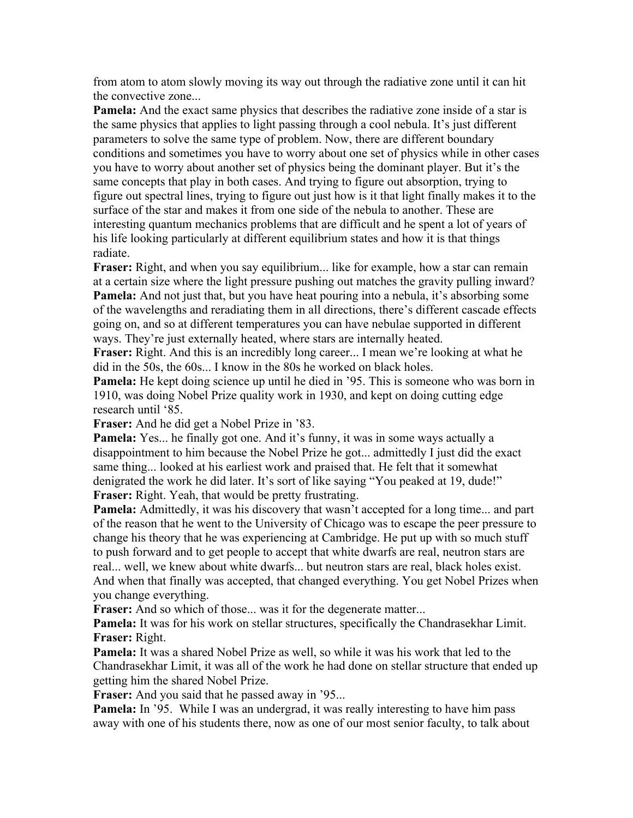from atom to atom slowly moving its way out through the radiative zone until it can hit the convective zone...

**Pamela:** And the exact same physics that describes the radiative zone inside of a star is the same physics that applies to light passing through a cool nebula. It's just different parameters to solve the same type of problem. Now, there are different boundary conditions and sometimes you have to worry about one set of physics while in other cases you have to worry about another set of physics being the dominant player. But it's the same concepts that play in both cases. And trying to figure out absorption, trying to figure out spectral lines, trying to figure out just how is it that light finally makes it to the surface of the star and makes it from one side of the nebula to another. These are interesting quantum mechanics problems that are difficult and he spent a lot of years of his life looking particularly at different equilibrium states and how it is that things radiate.

**Fraser:** Right, and when you say equilibrium... like for example, how a star can remain at a certain size where the light pressure pushing out matches the gravity pulling inward? **Pamela:** And not just that, but you have heat pouring into a nebula, it's absorbing some of the wavelengths and reradiating them in all directions, there's different cascade effects going on, and so at different temperatures you can have nebulae supported in different ways. They're just externally heated, where stars are internally heated.

**Fraser:** Right. And this is an incredibly long career... I mean we're looking at what he did in the 50s, the 60s... I know in the 80s he worked on black holes.

**Pamela:** He kept doing science up until he died in '95. This is someone who was born in 1910, was doing Nobel Prize quality work in 1930, and kept on doing cutting edge research until '85.

**Fraser:** And he did get a Nobel Prize in '83.

**Pamela:** Yes... he finally got one. And it's funny, it was in some ways actually a disappointment to him because the Nobel Prize he got... admittedly I just did the exact same thing... looked at his earliest work and praised that. He felt that it somewhat denigrated the work he did later. It's sort of like saying "You peaked at 19, dude!" **Fraser:** Right. Yeah, that would be pretty frustrating.

**Pamela:** Admittedly, it was his discovery that wasn't accepted for a long time... and part of the reason that he went to the University of Chicago was to escape the peer pressure to change his theory that he was experiencing at Cambridge. He put up with so much stuff to push forward and to get people to accept that white dwarfs are real, neutron stars are real... well, we knew about white dwarfs... but neutron stars are real, black holes exist. And when that finally was accepted, that changed everything. You get Nobel Prizes when you change everything.

**Fraser:** And so which of those... was it for the degenerate matter...

**Pamela:** It was for his work on stellar structures, specifically the Chandrasekhar Limit. **Fraser:** Right.

**Pamela:** It was a shared Nobel Prize as well, so while it was his work that led to the Chandrasekhar Limit, it was all of the work he had done on stellar structure that ended up getting him the shared Nobel Prize.

**Fraser:** And you said that he passed away in '95...

**Pamela:** In '95. While I was an undergrad, it was really interesting to have him pass away with one of his students there, now as one of our most senior faculty, to talk about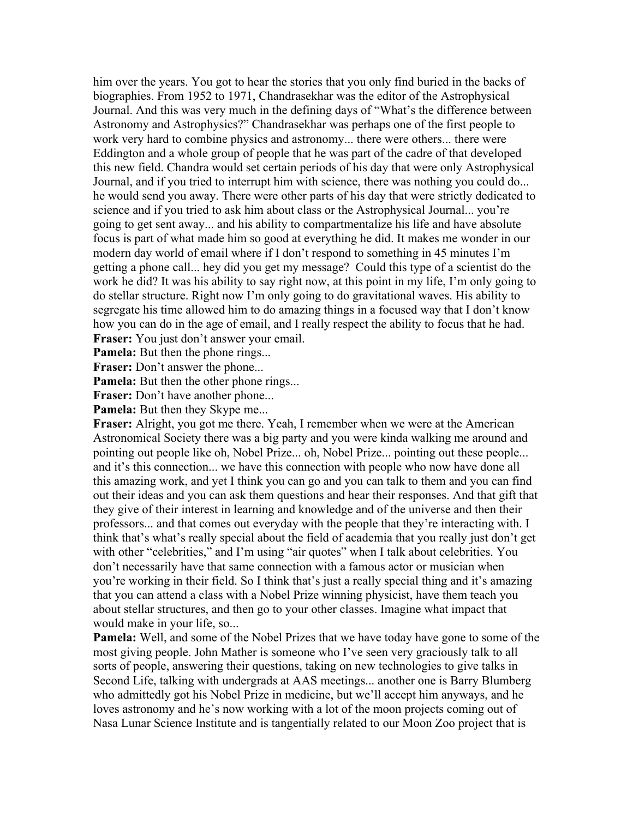him over the years. You got to hear the stories that you only find buried in the backs of biographies. From 1952 to 1971, Chandrasekhar was the editor of the Astrophysical Journal. And this was very much in the defining days of "What's the difference between Astronomy and Astrophysics?" Chandrasekhar was perhaps one of the first people to work very hard to combine physics and astronomy... there were others... there were Eddington and a whole group of people that he was part of the cadre of that developed this new field. Chandra would set certain periods of his day that were only Astrophysical Journal, and if you tried to interrupt him with science, there was nothing you could do... he would send you away. There were other parts of his day that were strictly dedicated to science and if you tried to ask him about class or the Astrophysical Journal... you're going to get sent away... and his ability to compartmentalize his life and have absolute focus is part of what made him so good at everything he did. It makes me wonder in our modern day world of email where if I don't respond to something in 45 minutes I'm getting a phone call... hey did you get my message? Could this type of a scientist do the work he did? It was his ability to say right now, at this point in my life, I'm only going to do stellar structure. Right now I'm only going to do gravitational waves. His ability to segregate his time allowed him to do amazing things in a focused way that I don't know how you can do in the age of email, and I really respect the ability to focus that he had. **Fraser:** You just don't answer your email.

**Pamela:** But then the phone rings...

**Fraser:** Don't answer the phone...

**Pamela:** But then the other phone rings...

**Fraser:** Don't have another phone...

**Pamela:** But then they Skype me...

**Fraser:** Alright, you got me there. Yeah, I remember when we were at the American Astronomical Society there was a big party and you were kinda walking me around and pointing out people like oh, Nobel Prize... oh, Nobel Prize... pointing out these people... and it's this connection... we have this connection with people who now have done all this amazing work, and yet I think you can go and you can talk to them and you can find out their ideas and you can ask them questions and hear their responses. And that gift that they give of their interest in learning and knowledge and of the universe and then their professors... and that comes out everyday with the people that they're interacting with. I think that's what's really special about the field of academia that you really just don't get with other "celebrities," and I'm using "air quotes" when I talk about celebrities. You don't necessarily have that same connection with a famous actor or musician when you're working in their field. So I think that's just a really special thing and it's amazing that you can attend a class with a Nobel Prize winning physicist, have them teach you about stellar structures, and then go to your other classes. Imagine what impact that would make in your life, so...

**Pamela:** Well, and some of the Nobel Prizes that we have today have gone to some of the most giving people. John Mather is someone who I've seen very graciously talk to all sorts of people, answering their questions, taking on new technologies to give talks in Second Life, talking with undergrads at AAS meetings... another one is Barry Blumberg who admittedly got his Nobel Prize in medicine, but we'll accept him anyways, and he loves astronomy and he's now working with a lot of the moon projects coming out of Nasa Lunar Science Institute and is tangentially related to our Moon Zoo project that is